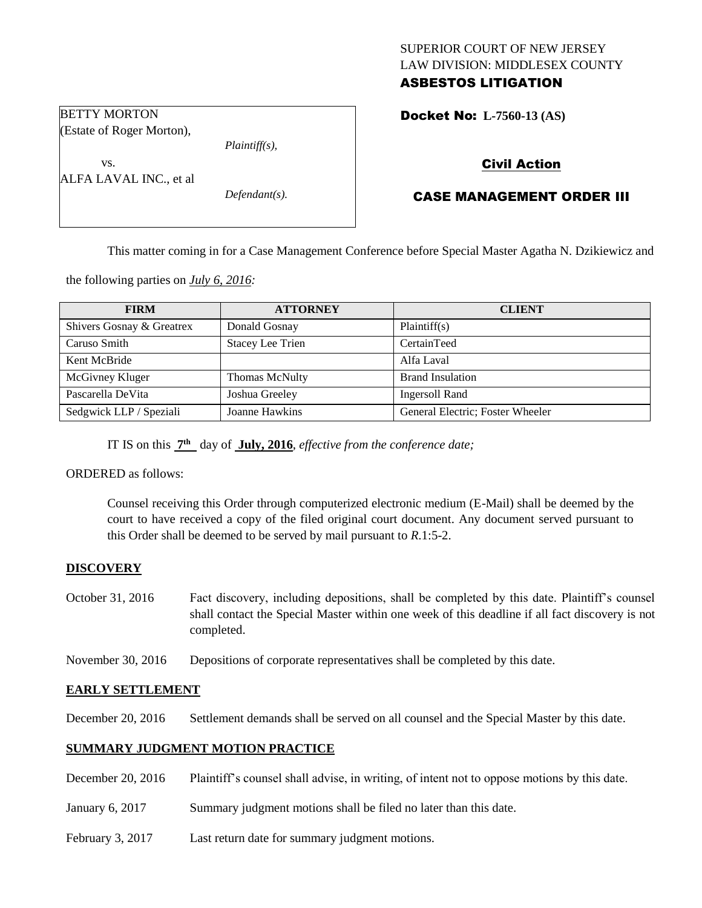# SUPERIOR COURT OF NEW JERSEY LAW DIVISION: MIDDLESEX COUNTY

# ASBESTOS LITIGATION

Docket No: **L-7560-13 (AS)** 

# Civil Action

# CASE MANAGEMENT ORDER III

This matter coming in for a Case Management Conference before Special Master Agatha N. Dzikiewicz and

the following parties on *July 6, 2016:*

BETTY MORTON

vs.

(Estate of Roger Morton),

ALFA LAVAL INC., et al

| <b>FIRM</b>               | <b>ATTORNEY</b>         | <b>CLIENT</b>                    |
|---------------------------|-------------------------|----------------------------------|
| Shivers Gosnay & Greatrex | Donald Gosnay           | Plaintiff(s)                     |
| Caruso Smith              | <b>Stacey Lee Trien</b> | CertainTeed                      |
| Kent McBride              |                         | Alfa Laval                       |
| McGivney Kluger           | <b>Thomas McNulty</b>   | <b>Brand Insulation</b>          |
| Pascarella DeVita         | Joshua Greeley          | <b>Ingersoll Rand</b>            |
| Sedgwick LLP / Speziali   | Joanne Hawkins          | General Electric; Foster Wheeler |

IT IS on this **7 th** day of **July, 2016**, *effective from the conference date;*

*Plaintiff(s),*

*Defendant(s).*

ORDERED as follows:

Counsel receiving this Order through computerized electronic medium (E-Mail) shall be deemed by the court to have received a copy of the filed original court document. Any document served pursuant to this Order shall be deemed to be served by mail pursuant to *R*.1:5-2.

## **DISCOVERY**

October 31, 2016 Fact discovery, including depositions, shall be completed by this date. Plaintiff's counsel shall contact the Special Master within one week of this deadline if all fact discovery is not completed.

November 30, 2016 Depositions of corporate representatives shall be completed by this date.

## **EARLY SETTLEMENT**

December 20, 2016 Settlement demands shall be served on all counsel and the Special Master by this date.

## **SUMMARY JUDGMENT MOTION PRACTICE**

- December 20, 2016 Plaintiff's counsel shall advise, in writing, of intent not to oppose motions by this date.
- January 6, 2017 Summary judgment motions shall be filed no later than this date.
- February 3, 2017 Last return date for summary judgment motions.